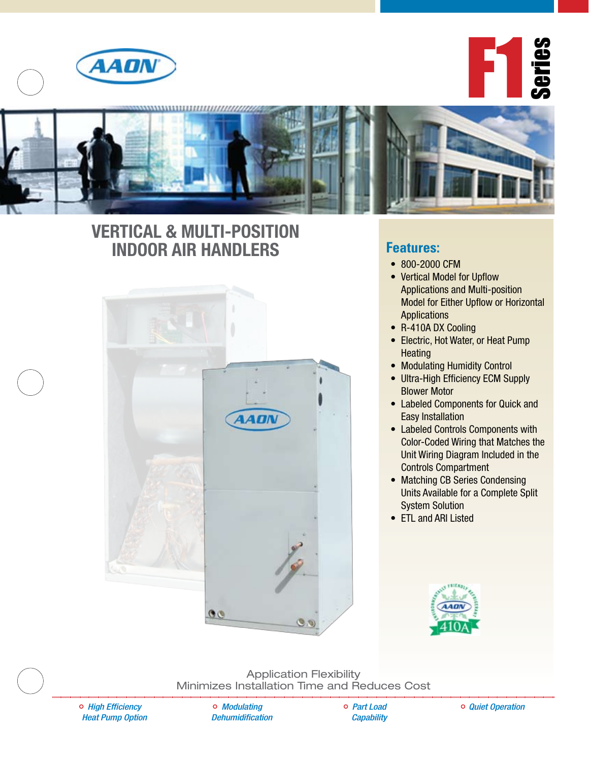

F1 Series



## **Vertical & Multi-Position Indoor Air Handlers**



### **Features:**

- 800-2000 CFM
- Vertical Model for Upflow Applications and Multi-position Model for Either Upflow or Horizontal Applications
- R-410A DX Cooling
- Electric, Hot Water, or Heat Pump **Heating**
- Modulating Humidity Control
- Ultra-High Efficiency ECM Supply Blower Motor
- Labeled Components for Quick and Easy Installation
- Labeled Controls Components with Color-Coded Wiring that Matches the Unit Wiring Diagram Included in the Controls Compartment
- Matching CB Series Condensing Units Available for a Complete Split System Solution
- ETL and ARI Listed



Application Flexibility Minimizes Installation Time and Reduces Cost

*High Efficiency Heat Pump Option*

*Modulating Dehumidification* *Part Load Capability* *Quiet Operation*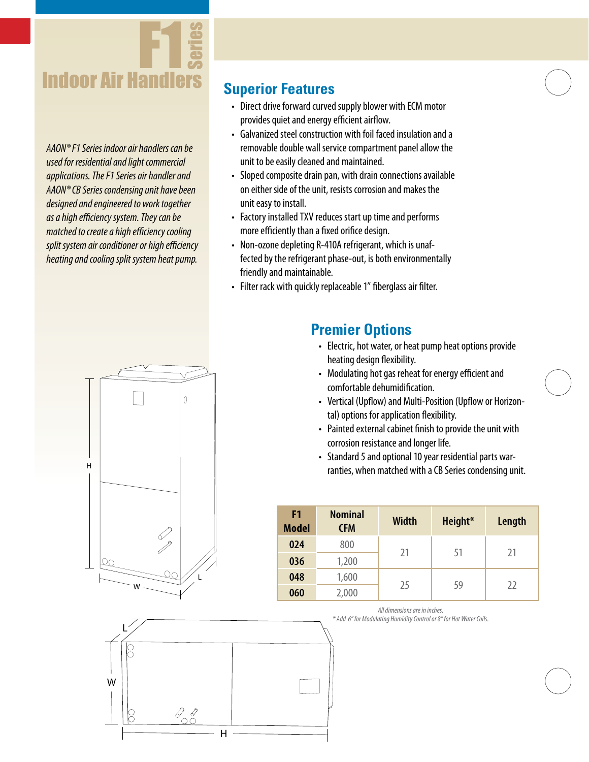

*AAON® F1 Series indoor air handlers can be used for residential and light commercial applications. The F1 Series air handler and AAON® CB Series condensing unit have been designed and engineered to work together as a high efficiency system. They can be matched to create a high efficiency cooling split system air conditioner or high efficiency heating and cooling split system heat pump.*

## **Superior Features**

- Direct drive forward curved supply blower with ECM motor provides quiet and energy efficient airflow.
- Galvanized steel construction with foil faced insulation and a removable double wall service compartment panel allow the unit to be easily cleaned and maintained.
- Sloped composite drain pan, with drain connections available on either side of the unit, resists corrosion and makes the unit easy to install.
- Factory installed TXV reduces start up time and performs more efficiently than a fixed orifice design.
- Non-ozone depleting R-410A refrigerant, which is unaffected by the refrigerant phase-out, is both environmentally friendly and maintainable.
- Filter rack with quickly replaceable 1" fiberglass air filter.

## **Premier Options**

- Electric, hot water, or heat pump heat options provide heating design flexibility.
- Modulating hot gas reheat for energy efficient and comfortable dehumidification.
- Vertical (Upflow) and Multi-Position (Upflow or Horizontal) options for application flexibility.
- Painted external cabinet finish to provide the unit with corrosion resistance and longer life.
- Standard 5 and optional 10 year residential parts warranties, when matched with a CB Series condensing unit.

| F <sub>1</sub><br><b>Model</b> | <b>Nominal</b><br><b>CFM</b> | <b>Width</b> | Height* | Length |
|--------------------------------|------------------------------|--------------|---------|--------|
| 024                            | 800                          | 21           | 51      | 21     |
| 036                            | 1,200                        |              |         |        |
| 048                            | 1,600                        | 25           | 59      | 22     |
| 060                            | 2,000                        |              |         |        |

#### *All dimensions are in inches.*

*\* Add 6" for Modulating Humidity Control or 8" for Hot Water Coils.*



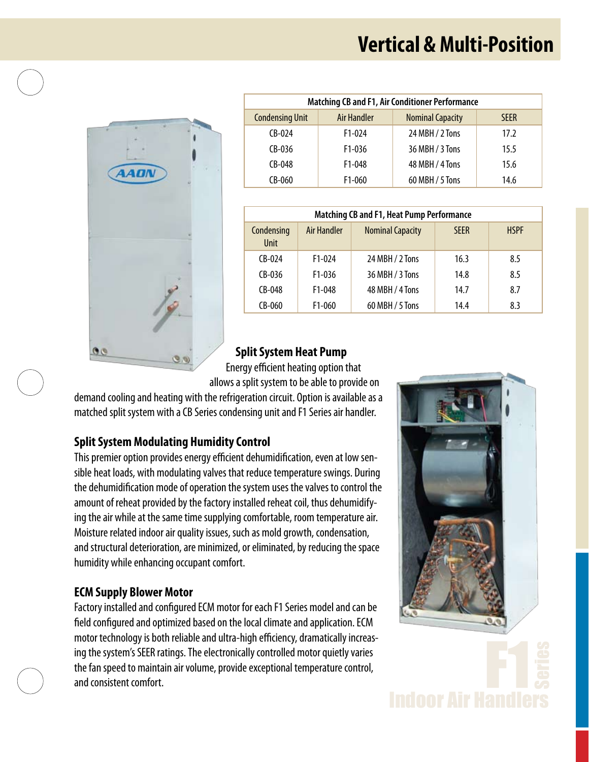## **Vertical & Multi-Position**



| <b>Matching CB and F1, Air Conditioner Performance</b> |                     |                         |             |  |  |  |  |
|--------------------------------------------------------|---------------------|-------------------------|-------------|--|--|--|--|
| <b>Condensing Unit</b>                                 | Air Handler         | <b>Nominal Capacity</b> | <b>SFFR</b> |  |  |  |  |
| $(R-0)4$                                               | $F1-0.024$          | 24 MBH / 2 Tons         | 17.2        |  |  |  |  |
| $CB-036$                                               | $F1-036$            | 36 MBH / 3 Tons         | 15.5        |  |  |  |  |
| $CB-048$                                               | F <sub>1</sub> -048 | 48 MBH / 4 Tons         | 15.6        |  |  |  |  |
| $CB-060$                                               | F <sub>1</sub> -060 | 60 MBH / 5 Tons         | 14.6        |  |  |  |  |

| <b>Matching CB and F1, Heat Pump Performance</b> |                    |                         |             |             |  |  |  |
|--------------------------------------------------|--------------------|-------------------------|-------------|-------------|--|--|--|
| Condensing<br><b>Unit</b>                        | <b>Air Handler</b> | <b>Nominal Capacity</b> | <b>SFFR</b> | <b>HSPF</b> |  |  |  |
| $CB-024$                                         | $F1-0.04$          | 24 MBH / 2 Tons         | 16.3        | 8.5         |  |  |  |
| $(R-0.36)$                                       | $F1 - 036$         | 36 MBH / 3 Tons         | 14.8        | 8.5         |  |  |  |
| $CB-048$                                         | F1-048             | 48 MBH / 4 Tons         | 14.7        | 8.7         |  |  |  |
| $CB-060$                                         | $F1-060$           | 60 MBH / 5 Tons         | 14.4        | 8.3         |  |  |  |

#### **Split System Heat Pump**

Energy efficient heating option that allows a split system to be able to provide on

demand cooling and heating with the refrigeration circuit. Option is available as a matched split system with a CB Series condensing unit and F1 Series air handler.

### **Split System Modulating Humidity Control**

This premier option provides energy efficient dehumidification, even at low sensible heat loads, with modulating valves that reduce temperature swings. During the dehumidification mode of operation the system uses the valves to control the amount of reheat provided by the factory installed reheat coil, thus dehumidifying the air while at the same time supplying comfortable, room temperature air. Moisture related indoor air quality issues, such as mold growth, condensation, and structural deterioration, are minimized, or eliminated, by reducing the space humidity while enhancing occupant comfort.

### **ECM Supply Blower Motor**

Factory installed and configured ECM motor for each F1 Series model and can be field configured and optimized based on the local climate and application. ECM motor technology is both reliable and ultra-high efficiency, dramatically increasing the system's SEER ratings. The electronically controlled motor quietly varies the fan speed to maintain air volume, provide exceptional temperature control, and consistent comfort.